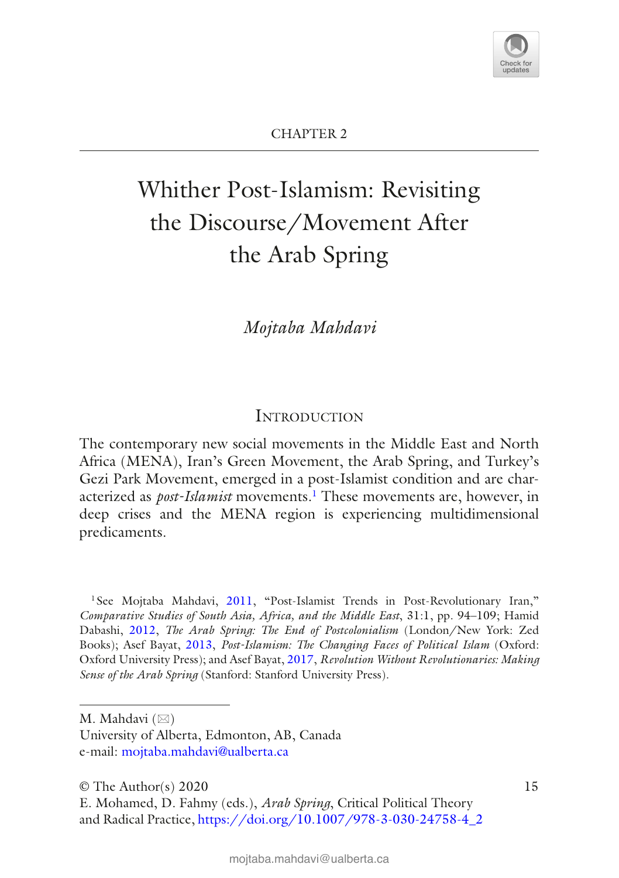

# Whither Post-Islamism: Revisiting the Discourse/Movement After the Arab Spring

## *Mojtaba Mahdavi*

## **INTRODUCTION**

The contemporary new social movements in the Middle East and North Africa (MENA), Iran's Green Movement, the Arab Spring, and Turkey's Gezi Park Movement, emerged in a post-Islamist condition and are characterized as *post-Islamist* movements.1 These movements are, however, in deep crises and the MENA region is experiencing multidimensional predicaments.

<sup>1</sup> See Mojtaba Mahdavi, 2011, "Post-Islamist Trends in Post-Revolutionary Iran," *Comparative Studies of South Asia, Africa, and the Middle East*, 31:1, pp. 94–109; Hamid Dabashi, 2012, *The Arab Spring: The End of Postcolonialism* (London/New York: Zed Books); Asef Bayat, 2013, *Post-Islamism: The Changing Faces of Political Islam* (Oxford: Oxford University Press); and Asef Bayat, 2017, *Revolution Without Revolutionaries: Making Sense of the Arab Spring* (Stanford: Stanford University Press).

M. Mahdavi  $(\boxtimes)$ 

University of Alberta, Edmonton, AB, Canada e-mail: mojtaba.mahdavi@ualberta.ca

 $\oslash$  The Author(s) 2020 15

E. Mohamed, D. Fahmy (eds.), *Arab Spring*, Critical Political Theory and Radical Practice, https://doi.org/10.1007/978-3-030-24758-4\_2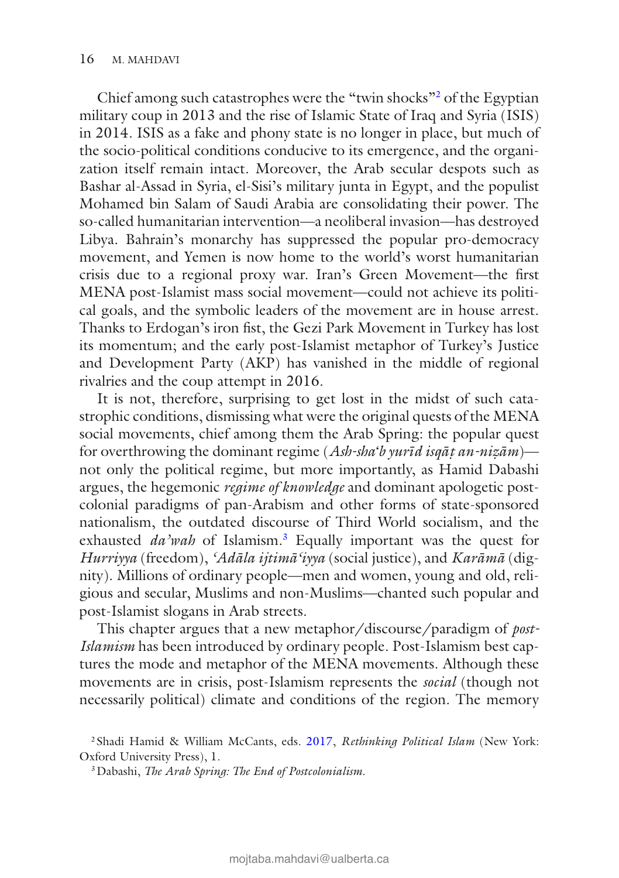Chief among such catastrophes were the "twin shocks"2 of the Egyptian military coup in 2013 and the rise of Islamic State of Iraq and Syria (ISIS) in 2014. ISIS as a fake and phony state is no longer in place, but much of the socio-political conditions conducive to its emergence, and the organization itself remain intact. Moreover, the Arab secular despots such as Bashar al-Assad in Syria, el-Sisi's military junta in Egypt, and the populist Mohamed bin Salam of Saudi Arabia are consolidating their power. The so-called humanitarian intervention—a neoliberal invasion—has destroyed Libya. Bahrain's monarchy has suppressed the popular pro-democracy movement, and Yemen is now home to the world's worst humanitarian crisis due to a regional proxy war. Iran's Green Movement—the first MENA post-Islamist mass social movement—could not achieve its political goals, and the symbolic leaders of the movement are in house arrest. Thanks to Erdogan's iron fist, the Gezi Park Movement in Turkey has lost its momentum; and the early post-Islamist metaphor of Turkey's Justice and Development Party (AKP) has vanished in the middle of regional rivalries and the coup attempt in 2016.

It is not, therefore, surprising to get lost in the midst of such catastrophic conditions, dismissing what were the original quests of the MENA social movements, chief among them the Arab Spring: the popular quest for overthrowing the dominant regime (*Ash-shaʻb yurıd isqa ̄ ̄t*̣ *an-niz*̣*ām*) not only the political regime, but more importantly, as Hamid Dabashi argues, the hegemonic *regime of knowledge* and dominant apologetic postcolonial paradigms of pan-Arabism and other forms of state-sponsored nationalism, the outdated discourse of Third World socialism, and the exhausted *da'wah* of Islamism.3 Equally important was the quest for *Hurriyya* (freedom), *'Adāla ijtimā'iyya* (social justice), and *Karāmā* (dignity). Millions of ordinary people—men and women, young and old, religious and secular, Muslims and non-Muslims—chanted such popular and post-Islamist slogans in Arab streets.

This chapter argues that a new metaphor/discourse/paradigm of *post-Islamism* has been introduced by ordinary people. Post-Islamism best captures the mode and metaphor of the MENA movements. Although these movements are in crisis, post-Islamism represents the *social* (though not necessarily political) climate and conditions of the region. The memory

<sup>2</sup> Shadi Hamid & William McCants, eds. 2017, *Rethinking Political Islam* (New York: Oxford University Press), 1.

<sup>3</sup>Dabashi, *The Arab Spring: The End of Postcolonialism*.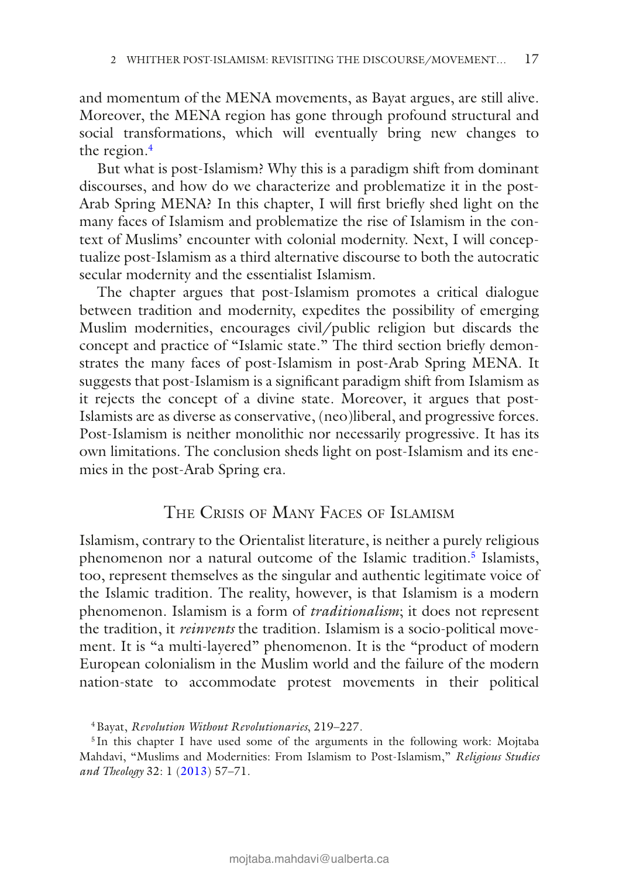and momentum of the MENA movements, as Bayat argues, are still alive. Moreover, the MENA region has gone through profound structural and social transformations, which will eventually bring new changes to the region.<sup>4</sup>

But what is post-Islamism? Why this is a paradigm shift from dominant discourses, and how do we characterize and problematize it in the post-Arab Spring MENA? In this chapter, I will first briefly shed light on the many faces of Islamism and problematize the rise of Islamism in the context of Muslims' encounter with colonial modernity. Next, I will conceptualize post-Islamism as a third alternative discourse to both the autocratic secular modernity and the essentialist Islamism.

The chapter argues that post-Islamism promotes a critical dialogue between tradition and modernity, expedites the possibility of emerging Muslim modernities, encourages civil/public religion but discards the concept and practice of "Islamic state." The third section briefly demonstrates the many faces of post-Islamism in post-Arab Spring MENA. It suggests that post-Islamism is a significant paradigm shift from Islamism as it rejects the concept of a divine state. Moreover, it argues that post-Islamists are as diverse as conservative, (neo)liberal, and progressive forces. Post-Islamism is neither monolithic nor necessarily progressive. It has its own limitations. The conclusion sheds light on post-Islamism and its enemies in the post-Arab Spring era.

### The Crisis of Many Faces of Islamism

Islamism, contrary to the Orientalist literature, is neither a purely religious phenomenon nor a natural outcome of the Islamic tradition.<sup>5</sup> Islamists, too, represent themselves as the singular and authentic legitimate voice of the Islamic tradition. The reality, however, is that Islamism is a modern phenomenon. Islamism is a form of *traditionalism*; it does not represent the tradition, it *reinvents* the tradition. Islamism is a socio-political movement. It is "a multi-layered" phenomenon. It is the "product of modern European colonialism in the Muslim world and the failure of the modern nation-state to accommodate protest movements in their political

<sup>4</sup>Bayat, *Revolution Without Revolutionaries*, 219–227.

<sup>5</sup> In this chapter I have used some of the arguments in the following work: Mojtaba Mahdavi, "Muslims and Modernities: From Islamism to Post-Islamism," *Religious Studies and Theology* 32: 1 (2013) 57–71.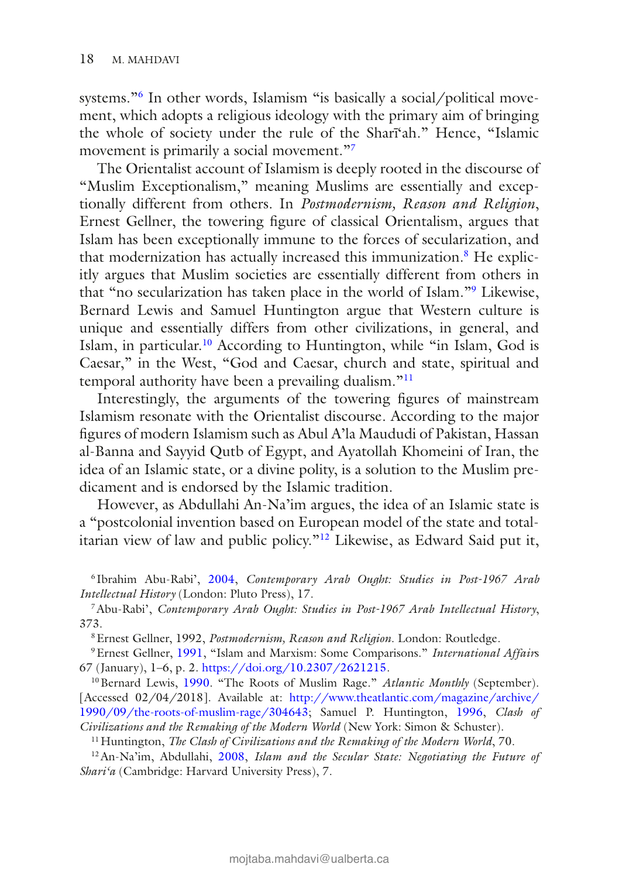systems."6 In other words, Islamism "is basically a social/political movement, which adopts a religious ideology with the primary aim of bringing the whole of society under the rule of the Shari'ah." Hence, "Islamic movement is primarily a social movement."7

The Orientalist account of Islamism is deeply rooted in the discourse of "Muslim Exceptionalism," meaning Muslims are essentially and exceptionally different from others. In *Postmodernism, Reason and Religion*, Ernest Gellner, the towering figure of classical Orientalism, argues that Islam has been exceptionally immune to the forces of secularization, and that modernization has actually increased this immunization.<sup>8</sup> He explicitly argues that Muslim societies are essentially different from others in that "no secularization has taken place in the world of Islam."9 Likewise, Bernard Lewis and Samuel Huntington argue that Western culture is unique and essentially differs from other civilizations, in general, and Islam, in particular.10 According to Huntington, while "in Islam, God is Caesar," in the West, "God and Caesar, church and state, spiritual and temporal authority have been a prevailing dualism."<sup>11</sup>

Interestingly, the arguments of the towering figures of mainstream Islamism resonate with the Orientalist discourse. According to the major figures of modern Islamism such as Abul A'la Maududi of Pakistan, Hassan al-Banna and Sayyid Qutb of Egypt, and Ayatollah Khomeini of Iran, the idea of an Islamic state, or a divine polity, is a solution to the Muslim predicament and is endorsed by the Islamic tradition.

However, as Abdullahi An-Na'im argues, the idea of an Islamic state is a "postcolonial invention based on European model of the state and totalitarian view of law and public policy.<sup>"12</sup> Likewise, as Edward Said put it,

<sup>6</sup> Ibrahim Abu-Rabi', 2004, *Contemporary Arab Ought: Studies in Post-1967 Arab Intellectual History* (London: Pluto Press), 17.

7Abu-Rabi', *Contemporary Arab Ought: Studies in Post-1967 Arab Intellectual History*, 373.

8Ernest Gellner, 1992, *Postmodernism, Reason and Religion*. London: Routledge.

9Ernest Gellner, 1991, "Islam and Marxism: Some Comparisons." *International Affair*s 67 (January), 1–6, p. 2. https://doi.org/10.2307/2621215.

<sup>10</sup> Bernard Lewis, 1990. "The Roots of Muslim Rage." *Atlantic Monthly* (September). [Accessed 02/04/2018]. Available at: http://www.theatlantic.com/magazine/archive/ 1990/09/the-roots-of-muslim-rage/304643; Samuel P. Huntington, 1996, *Clash of* 

*Civilizations and the Remaking of the Modern World* (New York: Simon & Schuster).

<sup>11</sup> Huntington, *The Clash of Civilizations and the Remaking of the Modern World*, 70.

12An-Na'im, Abdullahi, 2008, *Islam and the Secular State: Negotiating the Future of Shari'a* (Cambridge: Harvard University Press), 7.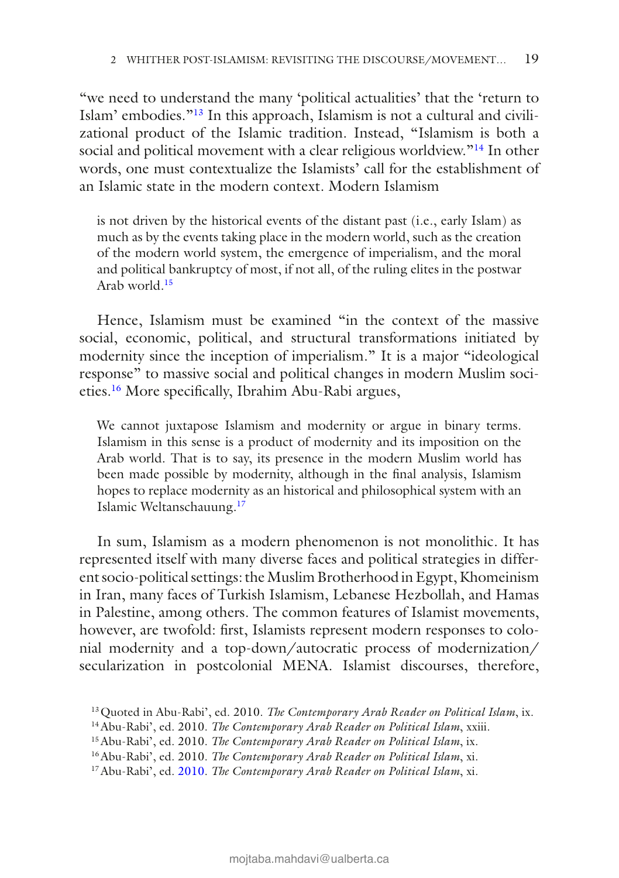"we need to understand the many 'political actualities' that the 'return to Islam' embodies."13 In this approach, Islamism is not a cultural and civilizational product of the Islamic tradition. Instead, "Islamism is both a social and political movement with a clear religious worldview."<sup>14</sup> In other words, one must contextualize the Islamists' call for the establishment of an Islamic state in the modern context. Modern Islamism

is not driven by the historical events of the distant past (i.e., early Islam) as much as by the events taking place in the modern world, such as the creation of the modern world system, the emergence of imperialism, and the moral and political bankruptcy of most, if not all, of the ruling elites in the postwar Arab world.15

Hence, Islamism must be examined "in the context of the massive social, economic, political, and structural transformations initiated by modernity since the inception of imperialism." It is a major "ideological response" to massive social and political changes in modern Muslim societies.16 More specifically, Ibrahim Abu-Rabi argues,

We cannot juxtapose Islamism and modernity or argue in binary terms. Islamism in this sense is a product of modernity and its imposition on the Arab world. That is to say, its presence in the modern Muslim world has been made possible by modernity, although in the final analysis, Islamism hopes to replace modernity as an historical and philosophical system with an Islamic Weltanschauung.17

In sum, Islamism as a modern phenomenon is not monolithic. It has represented itself with many diverse faces and political strategies in different socio-political settings: the Muslim Brotherhood in Egypt, Khomeinism in Iran, many faces of Turkish Islamism, Lebanese Hezbollah, and Hamas in Palestine, among others. The common features of Islamist movements, however, are twofold: first, Islamists represent modern responses to colonial modernity and a top-down/autocratic process of modernization/ secularization in postcolonial MENA. Islamist discourses, therefore,

<sup>13</sup>Quoted in Abu-Rabi', ed. 2010. *The Contemporary Arab Reader on Political Islam*, ix.

<sup>14</sup>Abu-Rabi', ed. 2010. *The Contemporary Arab Reader on Political Islam*, xxiii.

<sup>15</sup>Abu-Rabi', ed. 2010. *The Contemporary Arab Reader on Political Islam*, ix.

<sup>16</sup>Abu-Rabi', ed. 2010. *The Contemporary Arab Reader on Political Islam*, xi.

<sup>17</sup>Abu-Rabi', ed. 2010. *The Contemporary Arab Reader on Political Islam*, xi.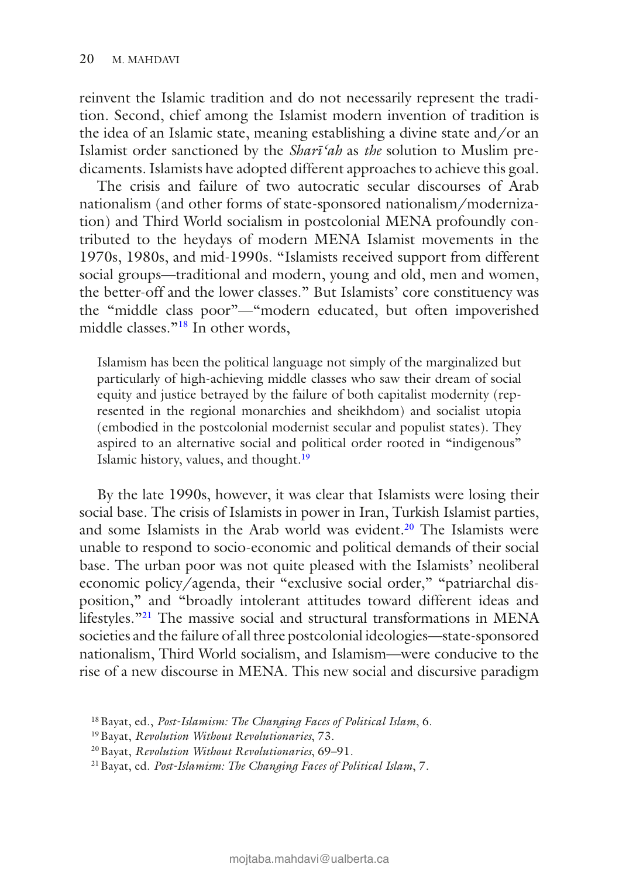reinvent the Islamic tradition and do not necessarily represent the tradition. Second, chief among the Islamist modern invention of tradition is the idea of an Islamic state, meaning establishing a divine state and/or an Islamist order sanctioned by the *Shari'ah* as *the* solution to Muslim predicaments. Islamists have adopted different approaches to achieve this goal.

The crisis and failure of two autocratic secular discourses of Arab nationalism (and other forms of state-sponsored nationalism/modernization) and Third World socialism in postcolonial MENA profoundly contributed to the heydays of modern MENA Islamist movements in the 1970s, 1980s, and mid-1990s. "Islamists received support from different social groups—traditional and modern, young and old, men and women, the better-off and the lower classes." But Islamists' core constituency was the "middle class poor"—"modern educated, but often impoverished middle classes."18 In other words,

Islamism has been the political language not simply of the marginalized but particularly of high-achieving middle classes who saw their dream of social equity and justice betrayed by the failure of both capitalist modernity (represented in the regional monarchies and sheikhdom) and socialist utopia (embodied in the postcolonial modernist secular and populist states). They aspired to an alternative social and political order rooted in "indigenous" Islamic history, values, and thought.19

By the late 1990s, however, it was clear that Islamists were losing their social base. The crisis of Islamists in power in Iran, Turkish Islamist parties, and some Islamists in the Arab world was evident.<sup>20</sup> The Islamists were unable to respond to socio-economic and political demands of their social base. The urban poor was not quite pleased with the Islamists' neoliberal economic policy/agenda, their "exclusive social order," "patriarchal disposition," and "broadly intolerant attitudes toward different ideas and lifestyles."21 The massive social and structural transformations in MENA societies and the failure of all three postcolonial ideologies—state-sponsored nationalism, Third World socialism, and Islamism—were conducive to the rise of a new discourse in MENA. This new social and discursive paradigm

<sup>18</sup>Bayat, ed., *Post-Islamism: The Changing Faces of Political Islam*, 6.

<sup>19</sup>Bayat, *Revolution Without Revolutionaries*, 73.

<sup>20</sup>Bayat, *Revolution Without Revolutionaries*, 69–91.

<sup>21</sup>Bayat, ed. *Post-Islamism: The Changing Faces of Political Islam*, 7.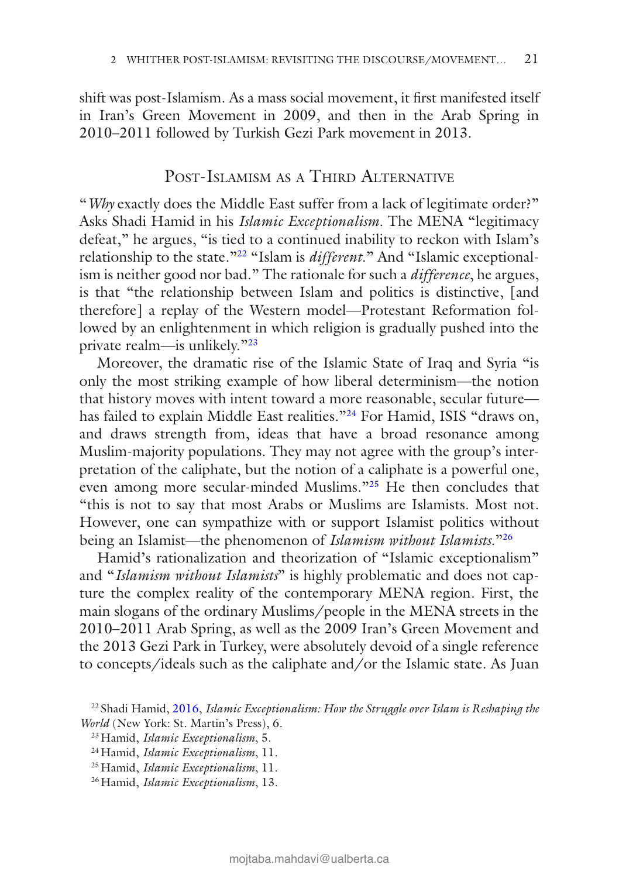shift was post-Islamism. As a mass social movement, it first manifested itself in Iran's Green Movement in 2009, and then in the Arab Spring in 2010–2011 followed by Turkish Gezi Park movement in 2013.

#### POST-ISLAMISM AS A THIRD ALTERNATIVE

"*Why* exactly does the Middle East suffer from a lack of legitimate order?" Asks Shadi Hamid in his *Islamic Exceptionalism*. The MENA "legitimacy defeat," he argues, "is tied to a continued inability to reckon with Islam's relationship to the state."22 "Islam is *different*." And "Islamic exceptionalism is neither good nor bad." The rationale for such a *difference*, he argues, is that "the relationship between Islam and politics is distinctive, [and therefore] a replay of the Western model—Protestant Reformation followed by an enlightenment in which religion is gradually pushed into the private realm—is unlikely."23

Moreover, the dramatic rise of the Islamic State of Iraq and Syria "is only the most striking example of how liberal determinism—the notion that history moves with intent toward a more reasonable, secular future has failed to explain Middle East realities."<sup>24</sup> For Hamid, ISIS "draws on, and draws strength from, ideas that have a broad resonance among Muslim-majority populations. They may not agree with the group's interpretation of the caliphate, but the notion of a caliphate is a powerful one, even among more secular-minded Muslims."<sup>25</sup> He then concludes that "this is not to say that most Arabs or Muslims are Islamists. Most not. However, one can sympathize with or support Islamist politics without being an Islamist—the phenomenon of *Islamism without Islamists*."26

Hamid's rationalization and theorization of "Islamic exceptionalism" and "*Islamism without Islamists*" is highly problematic and does not capture the complex reality of the contemporary MENA region. First, the main slogans of the ordinary Muslims/people in the MENA streets in the 2010–2011 Arab Spring, as well as the 2009 Iran's Green Movement and the 2013 Gezi Park in Turkey, were absolutely devoid of a single reference to concepts/ideals such as the caliphate and/or the Islamic state. As Juan

<sup>22</sup> Shadi Hamid, 2016, *Islamic Exceptionalism: How the Struggle over Islam is Reshaping the World* (New York: St. Martin's Press), 6.

<sup>23</sup>Hamid, *Islamic Exceptionalism*, 5.

<sup>24</sup>Hamid, *Islamic Exceptionalism*, 11.

<sup>25</sup>Hamid, *Islamic Exceptionalism*, 11.

<sup>26</sup>Hamid, *Islamic Exceptionalism*, 13.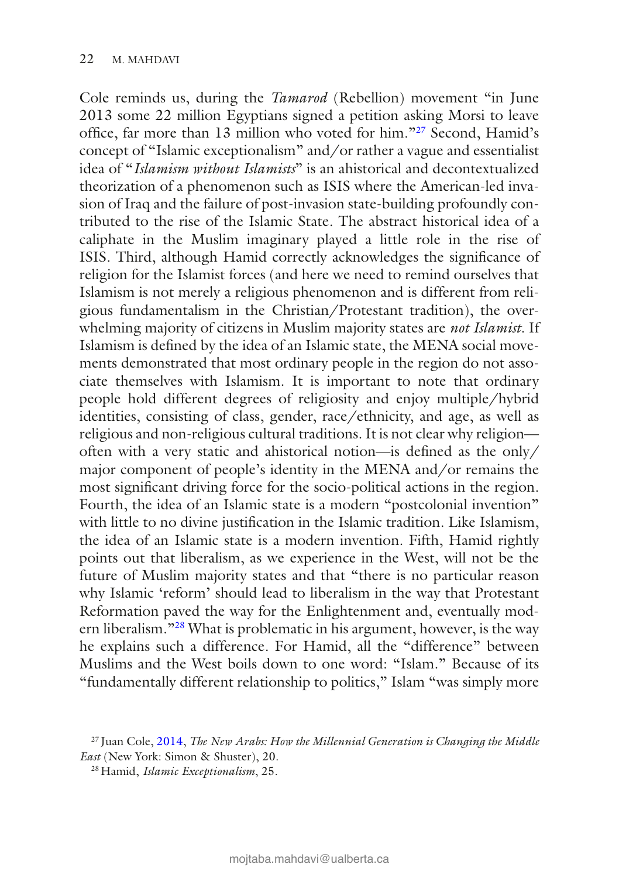Cole reminds us, during the *Tamarod* (Rebellion) movement "in June 2013 some 22 million Egyptians signed a petition asking Morsi to leave office, far more than 13 million who voted for him."27 Second, Hamid's concept of "Islamic exceptionalism" and/or rather a vague and essentialist idea of "*Islamism without Islamists*" is an ahistorical and decontextualized theorization of a phenomenon such as ISIS where the American-led invasion of Iraq and the failure of post-invasion state-building profoundly contributed to the rise of the Islamic State. The abstract historical idea of a caliphate in the Muslim imaginary played a little role in the rise of ISIS. Third, although Hamid correctly acknowledges the significance of religion for the Islamist forces (and here we need to remind ourselves that Islamism is not merely a religious phenomenon and is different from religious fundamentalism in the Christian/Protestant tradition), the overwhelming majority of citizens in Muslim majority states are *not Islamist*. If Islamism is defined by the idea of an Islamic state, the MENA social movements demonstrated that most ordinary people in the region do not associate themselves with Islamism. It is important to note that ordinary people hold different degrees of religiosity and enjoy multiple/hybrid identities, consisting of class, gender, race/ethnicity, and age, as well as religious and non-religious cultural traditions. It is not clear why religion often with a very static and ahistorical notion—is defined as the only/ major component of people's identity in the MENA and/or remains the most significant driving force for the socio-political actions in the region. Fourth, the idea of an Islamic state is a modern "postcolonial invention" with little to no divine justification in the Islamic tradition. Like Islamism, the idea of an Islamic state is a modern invention. Fifth, Hamid rightly points out that liberalism, as we experience in the West, will not be the future of Muslim majority states and that "there is no particular reason why Islamic 'reform' should lead to liberalism in the way that Protestant Reformation paved the way for the Enlightenment and, eventually modern liberalism."28 What is problematic in his argument, however, is the way he explains such a difference. For Hamid, all the "difference" between Muslims and the West boils down to one word: "Islam." Because of its "fundamentally different relationship to politics," Islam "was simply more

<sup>27</sup> Juan Cole, 2014, *The New Arabs: How the Millennial Generation is Changing the Middle East* (New York: Simon & Shuster), 20.

<sup>28</sup>Hamid, *Islamic Exceptionalism*, 25.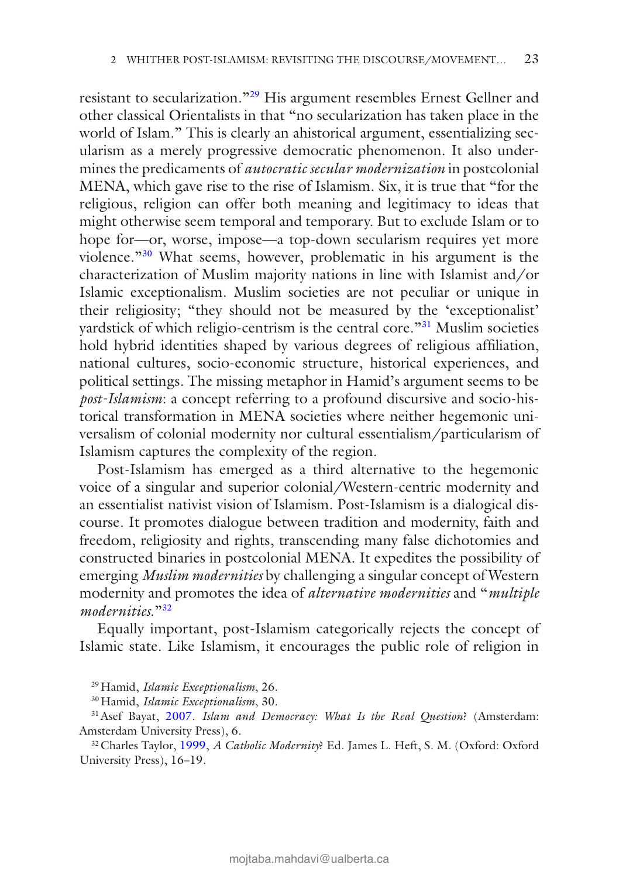resistant to secularization."29 His argument resembles Ernest Gellner and other classical Orientalists in that "no secularization has taken place in the world of Islam." This is clearly an ahistorical argument, essentializing secularism as a merely progressive democratic phenomenon. It also undermines the predicaments of *autocratic secular modernization* in postcolonial MENA, which gave rise to the rise of Islamism. Six, it is true that "for the religious, religion can offer both meaning and legitimacy to ideas that might otherwise seem temporal and temporary. But to exclude Islam or to hope for—or, worse, impose—a top-down secularism requires yet more violence."30 What seems, however, problematic in his argument is the characterization of Muslim majority nations in line with Islamist and/or Islamic exceptionalism. Muslim societies are not peculiar or unique in their religiosity; "they should not be measured by the 'exceptionalist' yardstick of which religio-centrism is the central core."<sup>31</sup> Muslim societies hold hybrid identities shaped by various degrees of religious affiliation, national cultures, socio-economic structure, historical experiences, and political settings. The missing metaphor in Hamid's argument seems to be *post-Islamism*: a concept referring to a profound discursive and socio-historical transformation in MENA societies where neither hegemonic universalism of colonial modernity nor cultural essentialism/particularism of Islamism captures the complexity of the region.

Post-Islamism has emerged as a third alternative to the hegemonic voice of a singular and superior colonial/Western-centric modernity and an essentialist nativist vision of Islamism. Post-Islamism is a dialogical discourse. It promotes dialogue between tradition and modernity, faith and freedom, religiosity and rights, transcending many false dichotomies and constructed binaries in postcolonial MENA. It expedites the possibility of emerging *Muslim modernities* by challenging a singular concept of Western modernity and promotes the idea of *alternative modernities* and "*multiple modernities*."32

Equally important, post-Islamism categorically rejects the concept of Islamic state. Like Islamism, it encourages the public role of religion in

32Charles Taylor, 1999, *A Catholic Modernity*? Ed. James L. Heft, S. M. (Oxford: Oxford University Press), 16–19.

<sup>29</sup>Hamid, *Islamic Exceptionalism*, 26.

<sup>30</sup>Hamid, *Islamic Exceptionalism*, 30.

<sup>31</sup>Asef Bayat, 2007. *Islam and Democracy: What Is the Real Question*? (Amsterdam: Amsterdam University Press), 6.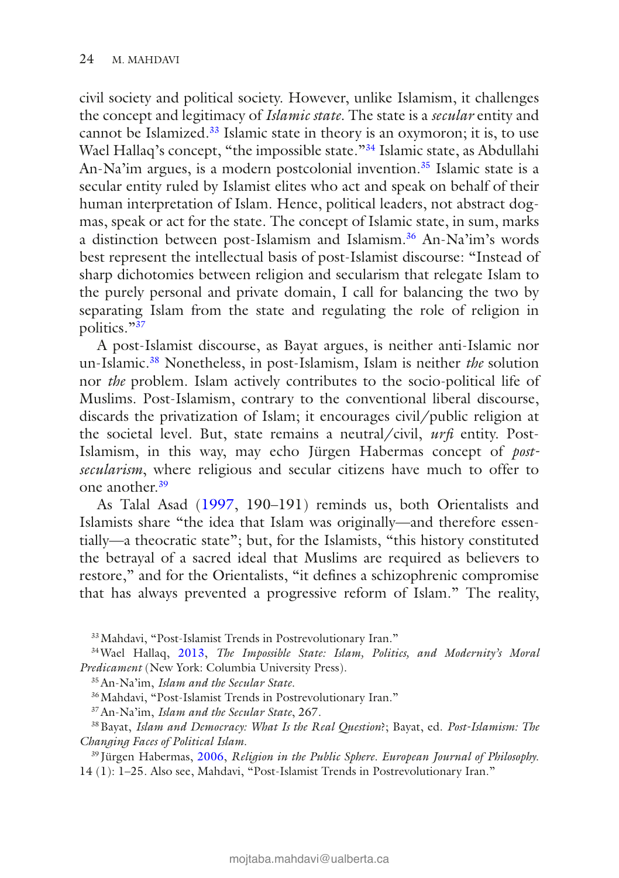civil society and political society. However, unlike Islamism, it challenges the concept and legitimacy of *Islamic state*. The state is a *secular* entity and cannot be Islamized.33 Islamic state in theory is an oxymoron; it is, to use Wael Hallaq's concept, "the impossible state."<sup>34</sup> Islamic state, as Abdullahi An-Na'im argues, is a modern postcolonial invention.<sup>35</sup> Islamic state is a secular entity ruled by Islamist elites who act and speak on behalf of their human interpretation of Islam. Hence, political leaders, not abstract dogmas, speak or act for the state. The concept of Islamic state, in sum, marks a distinction between post-Islamism and Islamism.36 An-Na'im's words best represent the intellectual basis of post-Islamist discourse: "Instead of sharp dichotomies between religion and secularism that relegate Islam to the purely personal and private domain, I call for balancing the two by separating Islam from the state and regulating the role of religion in politics."<sup>37</sup>

A post-Islamist discourse, as Bayat argues, is neither anti-Islamic nor un-Islamic.38 Nonetheless, in post-Islamism, Islam is neither *the* solution nor *the* problem. Islam actively contributes to the socio-political life of Muslims. Post-Islamism, contrary to the conventional liberal discourse, discards the privatization of Islam; it encourages civil/public religion at the societal level. But, state remains a neutral/civil, *urfi* entity. Post-Islamism, in this way, may echo Jürgen Habermas concept of *postsecularism*, where religious and secular citizens have much to offer to one another.39

As Talal Asad (1997, 190–191) reminds us, both Orientalists and Islamists share "the idea that Islam was originally—and therefore essentially—a theocratic state"; but, for the Islamists, "this history constituted the betrayal of a sacred ideal that Muslims are required as believers to restore," and for the Orientalists, "it defines a schizophrenic compromise that has always prevented a progressive reform of Islam." The reality,

<sup>33</sup>Mahdavi, "Post-Islamist Trends in Postrevolutionary Iran."

<sup>34</sup>Wael Hallaq, 2013, *The Impossible State: Islam, Politics, and Modernity's Moral Predicament* (New York: Columbia University Press).

<sup>35</sup>An-Na'im, *Islam and the Secular State*.

<sup>36</sup>Mahdavi, "Post-Islamist Trends in Postrevolutionary Iran."

<sup>37</sup>An-Na'im, *Islam and the Secular State*, 267.

<sup>38</sup>Bayat, *Islam and Democracy: What Is the Real Question*?; Bayat, ed. *Post-Islamism: The Changing Faces of Political Islam*.

<sup>39</sup> Jürgen Habermas, 2006, *Religion in the Public Sphere. European Journal of Philosophy*. 14 (1): 1–25. Also see, Mahdavi, "Post-Islamist Trends in Postrevolutionary Iran."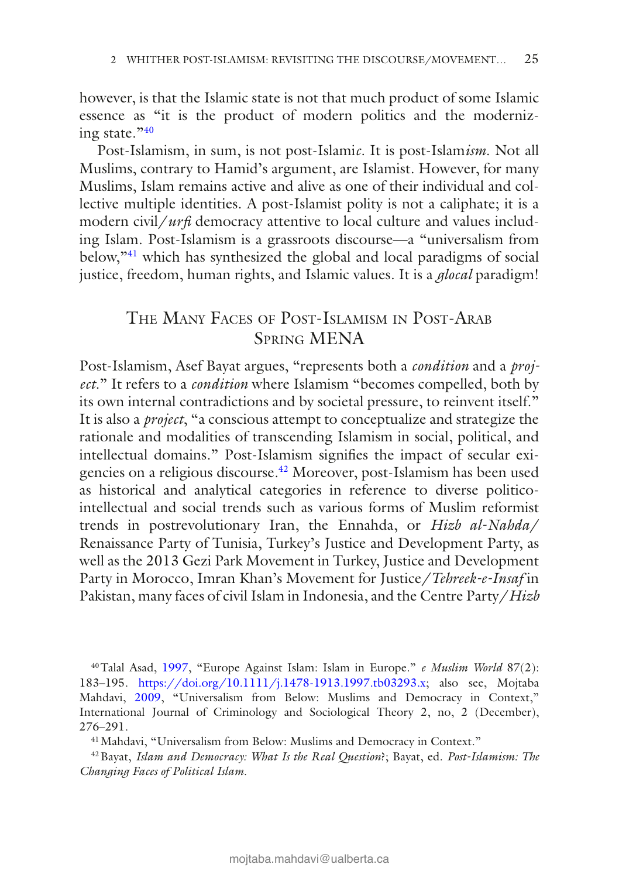however, is that the Islamic state is not that much product of some Islamic essence as "it is the product of modern politics and the modernizing state."40

Post-Islamism, in sum, is not post-Islami*c*. It is post-Islam*ism*. Not all Muslims, contrary to Hamid's argument, are Islamist. However, for many Muslims, Islam remains active and alive as one of their individual and collective multiple identities. A post-Islamist polity is not a caliphate; it is a modern civil/*urfi* democracy attentive to local culture and values including Islam. Post-Islamism is a grassroots discourse—a "universalism from below,"41 which has synthesized the global and local paradigms of social justice, freedom, human rights, and Islamic values. It is a *glocal* paradigm!

## The Many Faces of Post-Islamism in Post-Arab Spring MENA

Post-Islamism, Asef Bayat argues, "represents both a *condition* and a *project*." It refers to a *condition* where Islamism "becomes compelled, both by its own internal contradictions and by societal pressure, to reinvent itself." It is also a *project*, "a conscious attempt to conceptualize and strategize the rationale and modalities of transcending Islamism in social, political, and intellectual domains." Post-Islamism signifies the impact of secular exigencies on a religious discourse.42 Moreover, post-Islamism has been used as historical and analytical categories in reference to diverse politicointellectual and social trends such as various forms of Muslim reformist trends in postrevolutionary Iran, the Ennahda, or *Hizb al-Nahda*/ Renaissance Party of Tunisia, Turkey's Justice and Development Party, as well as the 2013 Gezi Park Movement in Turkey, Justice and Development Party in Morocco, Imran Khan's Movement for Justice/*Tehreek-e-Insaf* in Pakistan, many faces of civil Islam in Indonesia, and the Centre Party/*Hizb* 

40Talal Asad, 1997, "Europe Against Islam: Islam in Europe." *e Muslim World* 87(2): 183–195. https://doi.org/10.1111/j.1478-1913.1997.tb03293.x; also see, Mojtaba Mahdavi, 2009, "Universalism from Below: Muslims and Democracy in Context," International Journal of Criminology and Sociological Theory 2, no, 2 (December), 276–291.

41Mahdavi, "Universalism from Below: Muslims and Democracy in Context."

42Bayat, *Islam and Democracy: What Is the Real Question*?; Bayat, ed. *Post-Islamism: The Changing Faces of Political Islam*.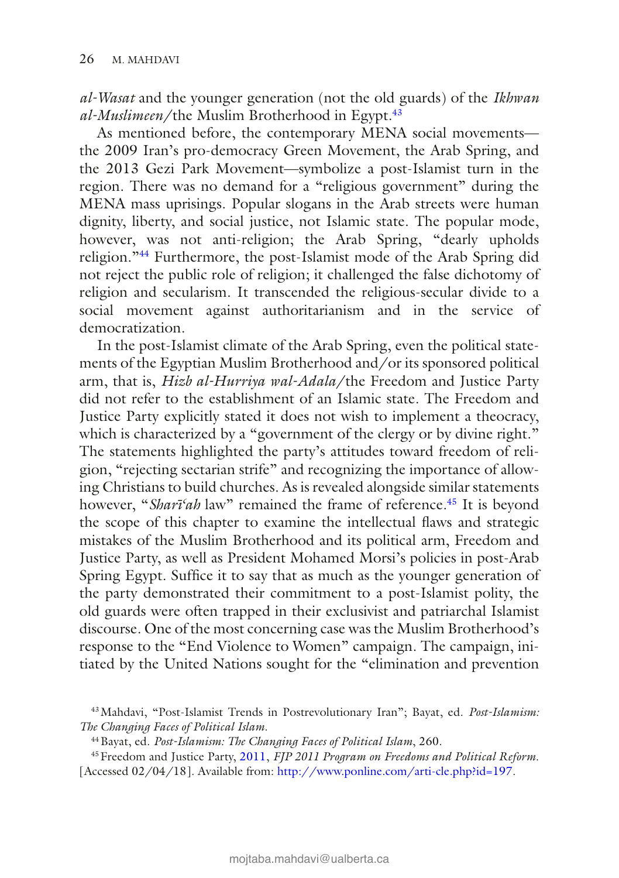*al-Wasat* and the younger generation (not the old guards) of the *Ikhwan al-Muslimeen*/the Muslim Brotherhood in Egypt.43

As mentioned before, the contemporary MENA social movements the 2009 Iran's pro-democracy Green Movement, the Arab Spring, and the 2013 Gezi Park Movement—symbolize a post-Islamist turn in the region. There was no demand for a "religious government" during the MENA mass uprisings. Popular slogans in the Arab streets were human dignity, liberty, and social justice, not Islamic state. The popular mode, however, was not anti-religion; the Arab Spring, "dearly upholds religion."44 Furthermore, the post-Islamist mode of the Arab Spring did not reject the public role of religion; it challenged the false dichotomy of religion and secularism. It transcended the religious-secular divide to a social movement against authoritarianism and in the service of democratization.

In the post-Islamist climate of the Arab Spring, even the political statements of the Egyptian Muslim Brotherhood and/or its sponsored political arm, that is, *Hizb al-Hurriya wal-Adala*/the Freedom and Justice Party did not refer to the establishment of an Islamic state. The Freedom and Justice Party explicitly stated it does not wish to implement a theocracy, which is characterized by a "government of the clergy or by divine right." The statements highlighted the party's attitudes toward freedom of religion, "rejecting sectarian strife" and recognizing the importance of allowing Christians to build churches. As is revealed alongside similar statements however, "*Shari'ah* law" remained the frame of reference.<sup>45</sup> It is beyond the scope of this chapter to examine the intellectual flaws and strategic mistakes of the Muslim Brotherhood and its political arm, Freedom and Justice Party, as well as President Mohamed Morsi's policies in post-Arab Spring Egypt. Suffice it to say that as much as the younger generation of the party demonstrated their commitment to a post-Islamist polity, the old guards were often trapped in their exclusivist and patriarchal Islamist discourse. One of the most concerning case was the Muslim Brotherhood's response to the "End Violence to Women" campaign. The campaign, initiated by the United Nations sought for the "elimination and prevention

<sup>43</sup>Mahdavi, "Post-Islamist Trends in Postrevolutionary Iran"; Bayat, ed. *Post-Islamism: The Changing Faces of Political Islam*.

<sup>44</sup>Bayat, ed. *Post-Islamism: The Changing Faces of Political Islam*, 260.

<sup>45</sup>Freedom and Justice Party, 2011, *FJP 2011 Program on Freedoms and Political Reform*. [Accessed 02/04/18]. Available from: http://www.ponline.com/arti-cle.php?id=197.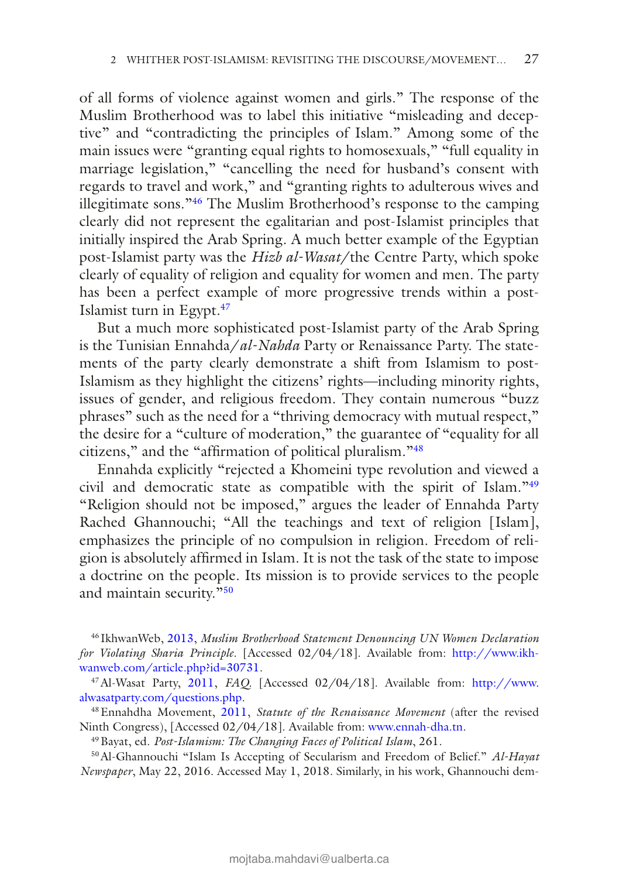of all forms of violence against women and girls." The response of the Muslim Brotherhood was to label this initiative "misleading and deceptive" and "contradicting the principles of Islam." Among some of the main issues were "granting equal rights to homosexuals," "full equality in marriage legislation," "cancelling the need for husband's consent with regards to travel and work," and "granting rights to adulterous wives and illegitimate sons."46 The Muslim Brotherhood's response to the camping clearly did not represent the egalitarian and post-Islamist principles that initially inspired the Arab Spring. A much better example of the Egyptian post-Islamist party was the *Hizb al-Wasat*/the Centre Party, which spoke clearly of equality of religion and equality for women and men. The party has been a perfect example of more progressive trends within a post-Islamist turn in Egypt.47

But a much more sophisticated post-Islamist party of the Arab Spring is the Tunisian Ennahda/*al-Nahda* Party or Renaissance Party. The statements of the party clearly demonstrate a shift from Islamism to post-Islamism as they highlight the citizens' rights—including minority rights, issues of gender, and religious freedom. They contain numerous "buzz phrases" such as the need for a "thriving democracy with mutual respect," the desire for a "culture of moderation," the guarantee of "equality for all citizens," and the "affirmation of political pluralism."48

Ennahda explicitly "rejected a Khomeini type revolution and viewed a civil and democratic state as compatible with the spirit of Islam."49 "Religion should not be imposed," argues the leader of Ennahda Party Rached Ghannouchi; "All the teachings and text of religion [Islam], emphasizes the principle of no compulsion in religion. Freedom of religion is absolutely affirmed in Islam. It is not the task of the state to impose a doctrine on the people. Its mission is to provide services to the people and maintain security.<sup>550</sup>

50Al-Ghannouchi "Islam Is Accepting of Secularism and Freedom of Belief." *Al-Hayat Newspaper*, May 22, 2016. Accessed May 1, 2018. Similarly, in his work, Ghannouchi dem-

<sup>46</sup> IkhwanWeb, 2013, *Muslim Brotherhood Statement Denouncing UN Women Declaration for Violating Sharia Principle*. [Accessed 02/04/18]. Available from: http://www.ikhwanweb.com/article.php?id=30731.

<sup>47</sup>Al-Wasat Party, 2011, *FAQ*. [Accessed 02/04/18]. Available from: http://www. alwasatparty.com/questions.php.

<sup>48</sup>Ennahdha Movement, 2011, *Statute of the Renaissance Movement* (after the revised Ninth Congress), [Accessed 02/04/18]. Available from: www.ennah-dha.tn.

<sup>49</sup>Bayat, ed. *Post-Islamism: The Changing Faces of Political Islam*, 261.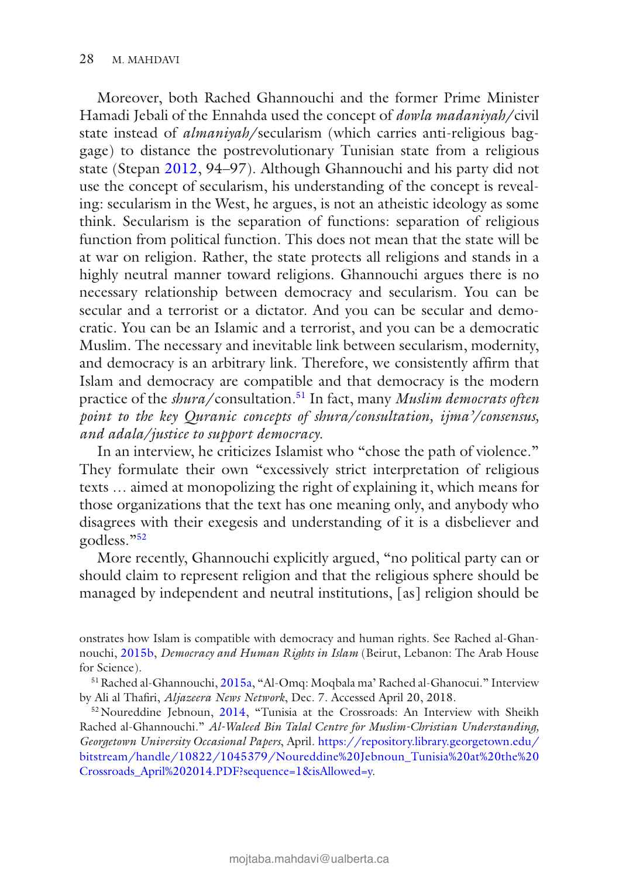Moreover, both Rached Ghannouchi and the former Prime Minister Hamadi Jebali of the Ennahda used the concept of *dowla madaniyah*/civil state instead of *almaniyah*/secularism (which carries anti-religious baggage) to distance the postrevolutionary Tunisian state from a religious state (Stepan 2012, 94–97). Although Ghannouchi and his party did not use the concept of secularism, his understanding of the concept is revealing: secularism in the West, he argues, is not an atheistic ideology as some think. Secularism is the separation of functions: separation of religious function from political function. This does not mean that the state will be at war on religion. Rather, the state protects all religions and stands in a highly neutral manner toward religions. Ghannouchi argues there is no necessary relationship between democracy and secularism. You can be secular and a terrorist or a dictator. And you can be secular and democratic. You can be an Islamic and a terrorist, and you can be a democratic Muslim. The necessary and inevitable link between secularism, modernity, and democracy is an arbitrary link. Therefore, we consistently affirm that Islam and democracy are compatible and that democracy is the modern practice of the *shura*/consultation.51 In fact, many *Muslim democrats often point to the key Quranic concepts of shura/consultation, ijma'/consensus, and adala/justice to support democracy*.

In an interview, he criticizes Islamist who "chose the path of violence." They formulate their own "excessively strict interpretation of religious texts … aimed at monopolizing the right of explaining it, which means for those organizations that the text has one meaning only, and anybody who disagrees with their exegesis and understanding of it is a disbeliever and godless."52

More recently, Ghannouchi explicitly argued, "no political party can or should claim to represent religion and that the religious sphere should be managed by independent and neutral institutions, [as] religion should be

onstrates how Islam is compatible with democracy and human rights. See Rached al-Ghannouchi, 2015b, *Democracy and Human Rights in Islam* (Beirut, Lebanon: The Arab House for Science).

51Rached al-Ghannouchi, 2015a, "Al-Omq: Moqbala ma' Rached al-Ghanocui." Interview by Ali al Thafiri, *Aljazeera News Network*, Dec. 7. Accessed April 20, 2018.

52Noureddine Jebnoun, 2014, "Tunisia at the Crossroads: An Interview with Sheikh Rached al-Ghannouchi." *Al-Waleed Bin Talal Centre for Muslim-Christian Understanding, Georgetown University Occasional Papers*, April. https://repository.library.georgetown.edu/ bitstream/handle/10822/1045379/Noureddine%20Jebnoun\_Tunisia%20at%20the%20 Crossroads\_April%202014.PDF?sequence=1&isAllowed=y.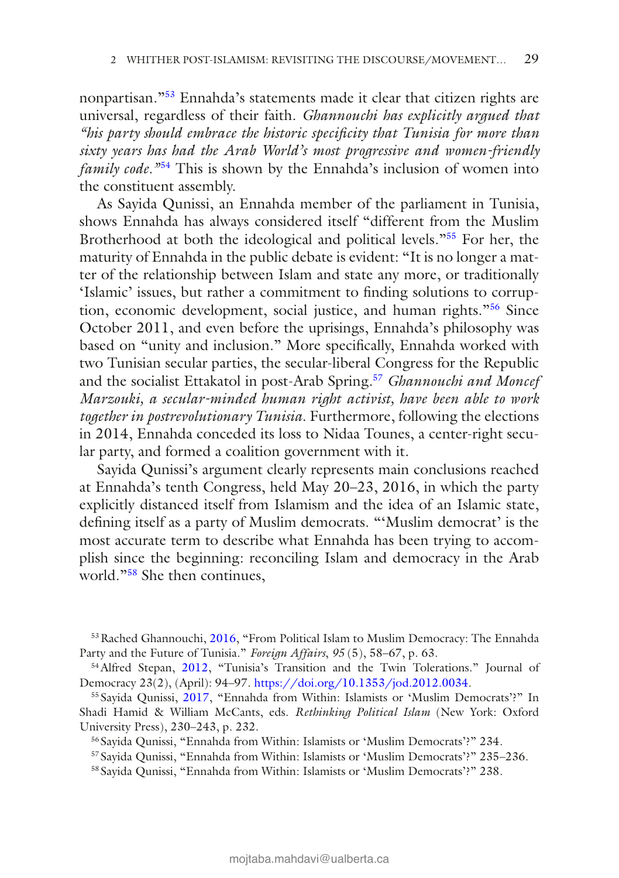nonpartisan."53 Ennahda's statements made it clear that citizen rights are universal, regardless of their faith. *Ghannouchi has explicitly argued that "his party should embrace the historic specificity that Tunisia for more than sixty years has had the Arab World's most progressive and women-friendly family code.*<sup>254</sup> This is shown by the Ennahda's inclusion of women into the constituent assembly.

As Sayida Qunissi, an Ennahda member of the parliament in Tunisia, shows Ennahda has always considered itself "different from the Muslim Brotherhood at both the ideological and political levels."55 For her, the maturity of Ennahda in the public debate is evident: "It is no longer a matter of the relationship between Islam and state any more, or traditionally 'Islamic' issues, but rather a commitment to finding solutions to corruption, economic development, social justice, and human rights."56 Since October 2011, and even before the uprisings, Ennahda's philosophy was based on "unity and inclusion." More specifically, Ennahda worked with two Tunisian secular parties, the secular-liberal Congress for the Republic and the socialist Ettakatol in post-Arab Spring.57 *Ghannouchi and Moncef Marzouki, a secular-minded human right activist, have been able to work together in postrevolutionary Tunisia*. Furthermore, following the elections in 2014, Ennahda conceded its loss to Nidaa Tounes, a center-right secular party, and formed a coalition government with it.

Sayida Qunissi's argument clearly represents main conclusions reached at Ennahda's tenth Congress, held May 20–23, 2016, in which the party explicitly distanced itself from Islamism and the idea of an Islamic state, defining itself as a party of Muslim democrats. "'Muslim democrat' is the most accurate term to describe what Ennahda has been trying to accomplish since the beginning: reconciling Islam and democracy in the Arab world."58 She then continues,

53Rached Ghannouchi, 2016, "From Political Islam to Muslim Democracy: The Ennahda Party and the Future of Tunisia." *Foreign Affairs*, *95* (5), 58–67, p. 63.

54Alfred Stepan, 2012, "Tunisia's Transition and the Twin Tolerations." Journal of Democracy 23(2), (April): 94–97. https://doi.org/10.1353/jod.2012.0034.

<sup>55</sup> Sayida Qunissi, 2017, "Ennahda from Within: Islamists or 'Muslim Democrats'?" In Shadi Hamid & William McCants, eds. *Rethinking Political Islam* (New York: Oxford University Press), 230–243, p. 232.

<sup>56</sup> Sayida Qunissi, "Ennahda from Within: Islamists or 'Muslim Democrats'?" 234.

<sup>57</sup> Sayida Qunissi, "Ennahda from Within: Islamists or 'Muslim Democrats'?" 235–236.

<sup>58</sup> Sayida Qunissi, "Ennahda from Within: Islamists or 'Muslim Democrats'?" 238.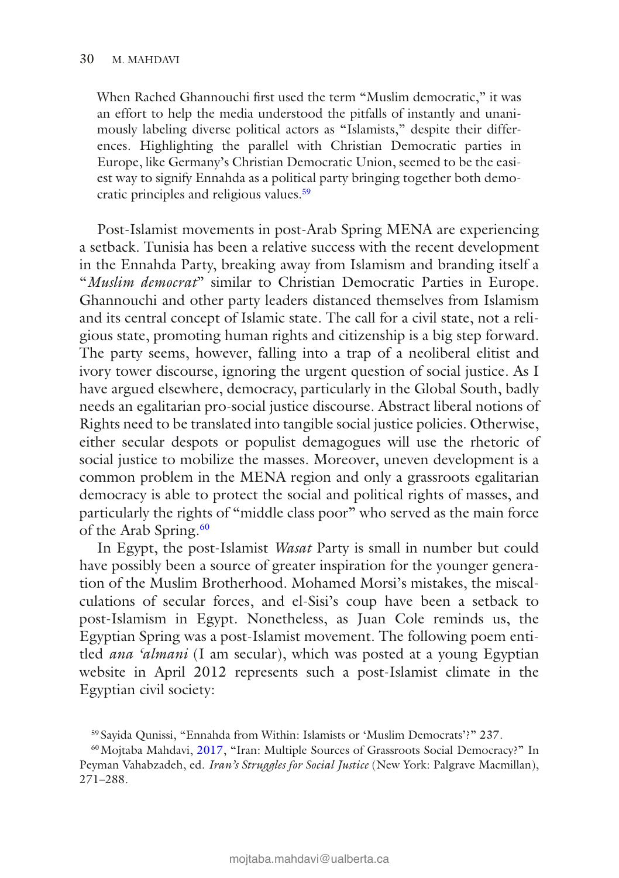When Rached Ghannouchi first used the term "Muslim democratic," it was an effort to help the media understood the pitfalls of instantly and unanimously labeling diverse political actors as "Islamists," despite their differences. Highlighting the parallel with Christian Democratic parties in Europe, like Germany's Christian Democratic Union, seemed to be the easiest way to signify Ennahda as a political party bringing together both democratic principles and religious values.59

Post-Islamist movements in post-Arab Spring MENA are experiencing a setback. Tunisia has been a relative success with the recent development in the Ennahda Party, breaking away from Islamism and branding itself a "*Muslim democrat*" similar to Christian Democratic Parties in Europe. Ghannouchi and other party leaders distanced themselves from Islamism and its central concept of Islamic state. The call for a civil state, not a religious state, promoting human rights and citizenship is a big step forward. The party seems, however, falling into a trap of a neoliberal elitist and ivory tower discourse, ignoring the urgent question of social justice. As I have argued elsewhere, democracy, particularly in the Global South, badly needs an egalitarian pro-social justice discourse. Abstract liberal notions of Rights need to be translated into tangible social justice policies. Otherwise, either secular despots or populist demagogues will use the rhetoric of social justice to mobilize the masses. Moreover, uneven development is a common problem in the MENA region and only a grassroots egalitarian democracy is able to protect the social and political rights of masses, and particularly the rights of "middle class poor" who served as the main force of the Arab Spring.<sup>60</sup>

In Egypt, the post-Islamist *Wasat* Party is small in number but could have possibly been a source of greater inspiration for the younger generation of the Muslim Brotherhood. Mohamed Morsi's mistakes, the miscalculations of secular forces, and el-Sisi's coup have been a setback to post-Islamism in Egypt. Nonetheless, as Juan Cole reminds us, the Egyptian Spring was a post-Islamist movement. The following poem entitled *ana 'almani* (I am secular), which was posted at a young Egyptian website in April 2012 represents such a post-Islamist climate in the Egyptian civil society:

<sup>59</sup> Sayida Qunissi, "Ennahda from Within: Islamists or 'Muslim Democrats'?" 237.

<sup>60</sup>Mojtaba Mahdavi, 2017, "Iran: Multiple Sources of Grassroots Social Democracy?" In Peyman Vahabzadeh, ed. *Iran's Struggles for Social Justice* (New York: Palgrave Macmillan), 271–288.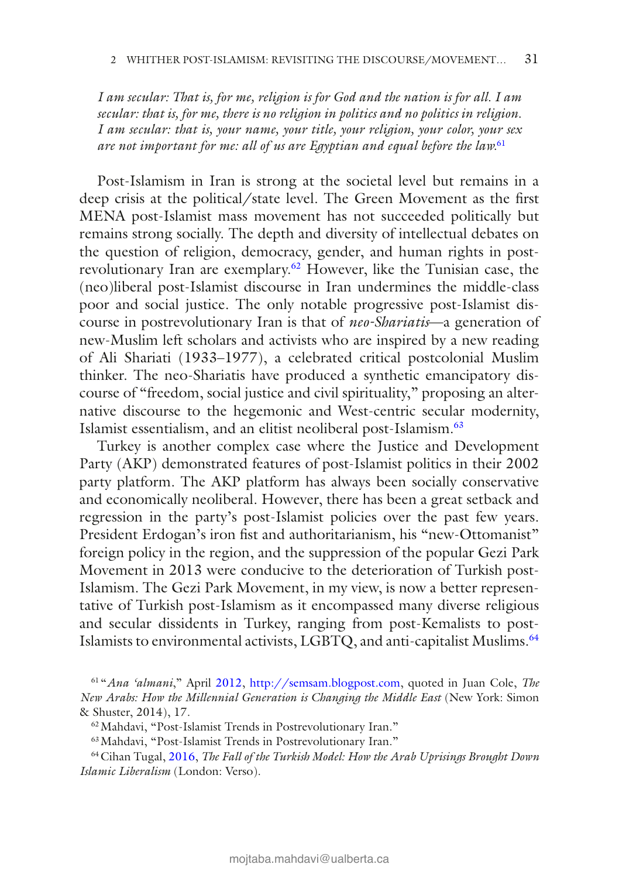*I am secular: That is, for me, religion is for God and the nation is for all. I am secular: that is, for me, there is no religion in politics and no politics in religion. I am secular: that is, your name, your title, your religion, your color, your sex are not important for me: all of us are Egyptian and equal before the law.*<sup>61</sup>

Post-Islamism in Iran is strong at the societal level but remains in a deep crisis at the political/state level. The Green Movement as the first MENA post-Islamist mass movement has not succeeded politically but remains strong socially. The depth and diversity of intellectual debates on the question of religion, democracy, gender, and human rights in postrevolutionary Iran are exemplary.62 However, like the Tunisian case, the (neo)liberal post-Islamist discourse in Iran undermines the middle-class poor and social justice. The only notable progressive post-Islamist discourse in postrevolutionary Iran is that of *neo-Shariatis*—a generation of new-Muslim left scholars and activists who are inspired by a new reading of Ali Shariati (1933–1977), a celebrated critical postcolonial Muslim thinker. The neo-Shariatis have produced a synthetic emancipatory discourse of "freedom, social justice and civil spirituality," proposing an alternative discourse to the hegemonic and West-centric secular modernity, Islamist essentialism, and an elitist neoliberal post-Islamism.<sup>63</sup>

Turkey is another complex case where the Justice and Development Party (AKP) demonstrated features of post-Islamist politics in their 2002 party platform. The AKP platform has always been socially conservative and economically neoliberal. However, there has been a great setback and regression in the party's post-Islamist policies over the past few years. President Erdogan's iron fist and authoritarianism, his "new-Ottomanist" foreign policy in the region, and the suppression of the popular Gezi Park Movement in 2013 were conducive to the deterioration of Turkish post-Islamism. The Gezi Park Movement, in my view, is now a better representative of Turkish post-Islamism as it encompassed many diverse religious and secular dissidents in Turkey, ranging from post-Kemalists to post-Islamists to environmental activists, LGBTQ, and anti-capitalist Muslims.64

<sup>61</sup> "*Ana 'almani*," April 2012, http://semsam.blogpost.com, quoted in Juan Cole, *The New Arabs: How the Millennial Generation is Changing the Middle East* (New York: Simon & Shuster, 2014), 17.

62Mahdavi, "Post-Islamist Trends in Postrevolutionary Iran."

64Cihan Tugal, 2016, *The Fall of the Turkish Model: How the Arab Uprisings Brought Down Islamic Liberalism* (London: Verso).

<sup>63</sup>Mahdavi, "Post-Islamist Trends in Postrevolutionary Iran."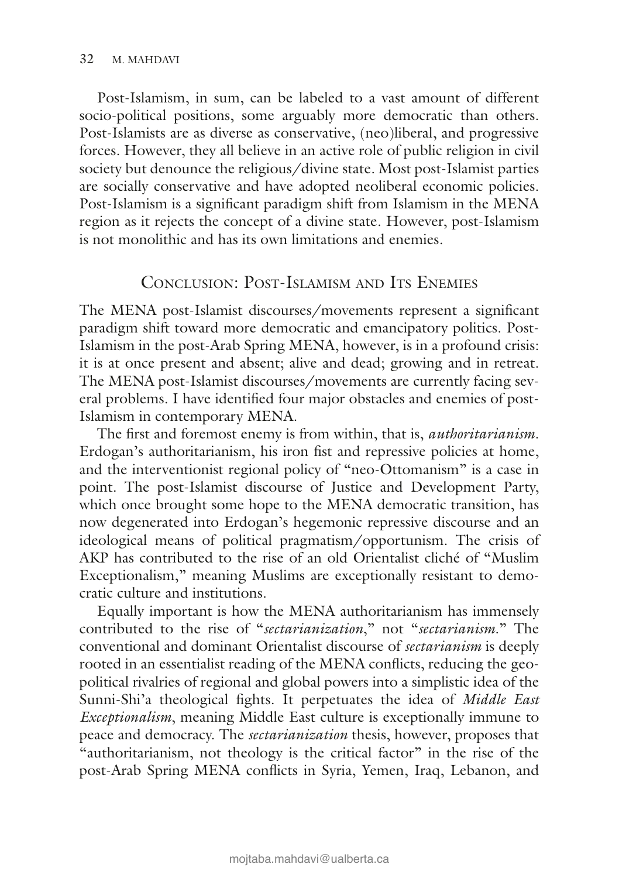Post-Islamism, in sum, can be labeled to a vast amount of different socio-political positions, some arguably more democratic than others. Post-Islamists are as diverse as conservative, (neo)liberal, and progressive forces. However, they all believe in an active role of public religion in civil society but denounce the religious/divine state. Most post-Islamist parties are socially conservative and have adopted neoliberal economic policies. Post-Islamism is a significant paradigm shift from Islamism in the MENA region as it rejects the concept of a divine state. However, post-Islamism is not monolithic and has its own limitations and enemies.

## Conclusion: Post-Islamism and Its Enemies

The MENA post-Islamist discourses/movements represent a significant paradigm shift toward more democratic and emancipatory politics. Post-Islamism in the post-Arab Spring MENA, however, is in a profound crisis: it is at once present and absent; alive and dead; growing and in retreat. The MENA post-Islamist discourses/movements are currently facing several problems. I have identified four major obstacles and enemies of post-Islamism in contemporary MENA.

The first and foremost enemy is from within, that is, *authoritarianism*. Erdogan's authoritarianism, his iron fist and repressive policies at home, and the interventionist regional policy of "neo-Ottomanism" is a case in point. The post-Islamist discourse of Justice and Development Party, which once brought some hope to the MENA democratic transition, has now degenerated into Erdogan's hegemonic repressive discourse and an ideological means of political pragmatism/opportunism. The crisis of AKP has contributed to the rise of an old Orientalist cliché of "Muslim Exceptionalism," meaning Muslims are exceptionally resistant to democratic culture and institutions.

Equally important is how the MENA authoritarianism has immensely contributed to the rise of "*sectarianization*," not "*sectarianism*." The conventional and dominant Orientalist discourse of *sectarianism* is deeply rooted in an essentialist reading of the MENA conflicts, reducing the geopolitical rivalries of regional and global powers into a simplistic idea of the Sunni-Shi'a theological fights. It perpetuates the idea of *Middle East Exceptionalism*, meaning Middle East culture is exceptionally immune to peace and democracy. The *sectarianization* thesis, however, proposes that "authoritarianism, not theology is the critical factor" in the rise of the post-Arab Spring MENA conflicts in Syria, Yemen, Iraq, Lebanon, and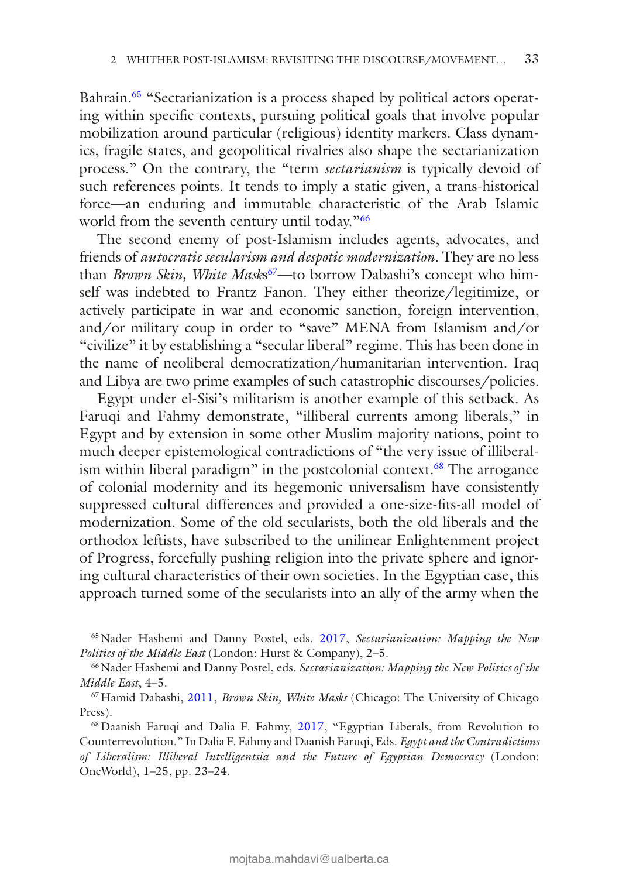Bahrain.<sup>65</sup> "Sectarianization is a process shaped by political actors operating within specific contexts, pursuing political goals that involve popular mobilization around particular (religious) identity markers. Class dynamics, fragile states, and geopolitical rivalries also shape the sectarianization process." On the contrary, the "term *sectarianism* is typically devoid of such references points. It tends to imply a static given, a trans-historical force—an enduring and immutable characteristic of the Arab Islamic world from the seventh century until today."66

The second enemy of post-Islamism includes agents, advocates, and friends of *autocratic secularism and despotic modernization*. They are no less than *Brown Skin, White Masks<sup>67</sup>*—to borrow Dabashi's concept who himself was indebted to Frantz Fanon. They either theorize/legitimize, or actively participate in war and economic sanction, foreign intervention, and/or military coup in order to "save" MENA from Islamism and/or "civilize" it by establishing a "secular liberal" regime. This has been done in the name of neoliberal democratization/humanitarian intervention. Iraq and Libya are two prime examples of such catastrophic discourses/policies.

Egypt under el-Sisi's militarism is another example of this setback. As Faruqi and Fahmy demonstrate, "illiberal currents among liberals," in Egypt and by extension in some other Muslim majority nations, point to much deeper epistemological contradictions of "the very issue of illiberalism within liberal paradigm" in the postcolonial context.<sup>68</sup> The arrogance of colonial modernity and its hegemonic universalism have consistently suppressed cultural differences and provided a one-size-fits-all model of modernization. Some of the old secularists, both the old liberals and the orthodox leftists, have subscribed to the unilinear Enlightenment project of Progress, forcefully pushing religion into the private sphere and ignoring cultural characteristics of their own societies. In the Egyptian case, this approach turned some of the secularists into an ally of the army when the

65Nader Hashemi and Danny Postel, eds. 2017, *Sectarianization: Mapping the New Politics of the Middle East* (London: Hurst & Company), 2–5.

66Nader Hashemi and Danny Postel, eds. *Sectarianization: Mapping the New Politics of the Middle East*, 4–5.

67Hamid Dabashi, 2011, *Brown Skin, White Masks* (Chicago: The University of Chicago Press).

68Daanish Faruqi and Dalia F. Fahmy, 2017, "Egyptian Liberals, from Revolution to Counterrevolution." In Dalia F. Fahmy and Daanish Faruqi, Eds. *Egypt and the Contradictions of Liberalism: Illiberal Intelligentsia and the Future of Egyptian Democracy* (London: OneWorld), 1–25, pp. 23–24.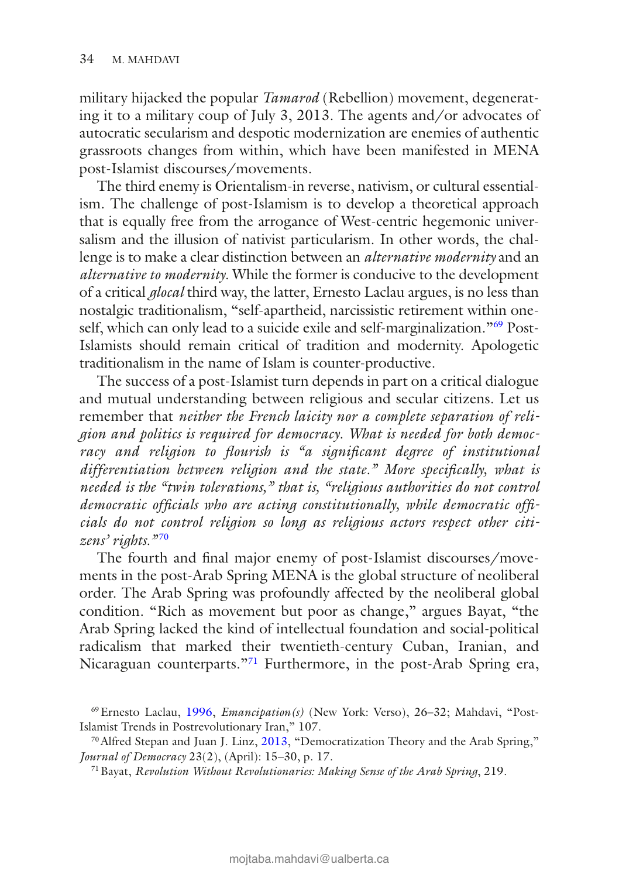military hijacked the popular *Tamarod* (Rebellion) movement, degenerating it to a military coup of July 3, 2013. The agents and/or advocates of autocratic secularism and despotic modernization are enemies of authentic grassroots changes from within, which have been manifested in MENA post-Islamist discourses/movements.

The third enemy is Orientalism-in reverse, nativism, or cultural essentialism. The challenge of post-Islamism is to develop a theoretical approach that is equally free from the arrogance of West-centric hegemonic universalism and the illusion of nativist particularism. In other words, the challenge is to make a clear distinction between an *alternative modernity* and an *alternative to modernity*. While the former is conducive to the development of a critical *glocal* third way, the latter, Ernesto Laclau argues, is no less than nostalgic traditionalism, "self-apartheid, narcissistic retirement within oneself, which can only lead to a suicide exile and self-marginalization."<sup>69</sup> Post-Islamists should remain critical of tradition and modernity. Apologetic traditionalism in the name of Islam is counter-productive.

The success of a post-Islamist turn depends in part on a critical dialogue and mutual understanding between religious and secular citizens. Let us remember that *neither the French laicity nor a complete separation of religion and politics is required for democracy. What is needed for both democracy and religion to flourish is "a significant degree of institutional differentiation between religion and the state." More specifically, what is needed is the "twin tolerations," that is, "religious authorities do not control democratic officials who are acting constitutionally, while democratic officials do not control religion so long as religious actors respect other citi*zens' rights.<sup>"70</sup>

The fourth and final major enemy of post-Islamist discourses/movements in the post-Arab Spring MENA is the global structure of neoliberal order. The Arab Spring was profoundly affected by the neoliberal global condition. "Rich as movement but poor as change," argues Bayat, "the Arab Spring lacked the kind of intellectual foundation and social-political radicalism that marked their twentieth-century Cuban, Iranian, and Nicaraguan counterparts."<sup>71</sup> Furthermore, in the post-Arab Spring era,

<sup>69</sup>Ernesto Laclau, 1996, *Emancipation(s)* (New York: Verso), 26–32; Mahdavi, "Post-Islamist Trends in Postrevolutionary Iran," 107.

<sup>70</sup>Alfred Stepan and Juan J. Linz, 2013, "Democratization Theory and the Arab Spring," *Journal of Democracy* 23(2), (April): 15–30, p. 17.

<sup>71</sup>Bayat, *Revolution Without Revolutionaries: Making Sense of the Arab Spring*, 219.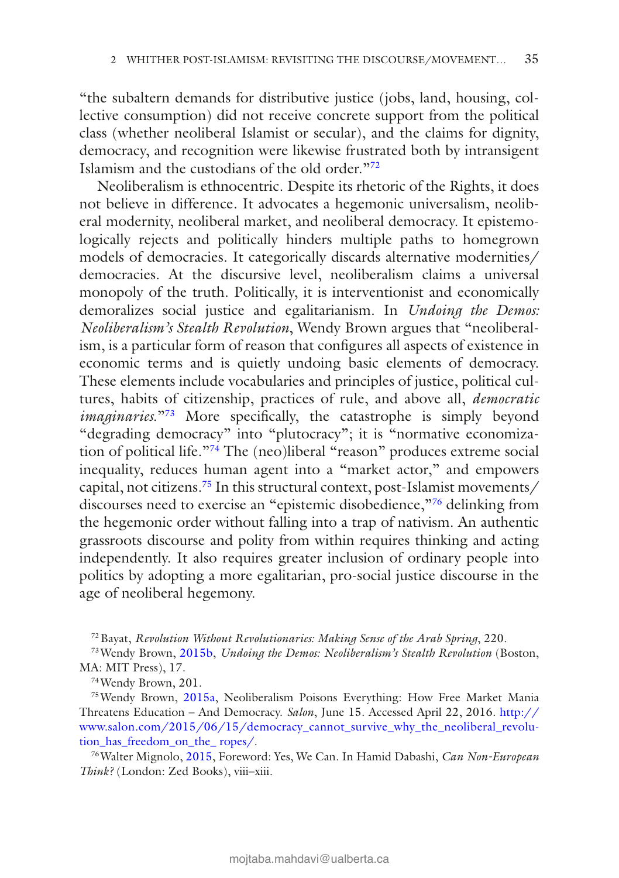"the subaltern demands for distributive justice (jobs, land, housing, collective consumption) did not receive concrete support from the political class (whether neoliberal Islamist or secular), and the claims for dignity, democracy, and recognition were likewise frustrated both by intransigent Islamism and the custodians of the old order."72

Neoliberalism is ethnocentric. Despite its rhetoric of the Rights, it does not believe in difference. It advocates a hegemonic universalism, neoliberal modernity, neoliberal market, and neoliberal democracy. It epistemologically rejects and politically hinders multiple paths to homegrown models of democracies. It categorically discards alternative modernities/ democracies. At the discursive level, neoliberalism claims a universal monopoly of the truth. Politically, it is interventionist and economically demoralizes social justice and egalitarianism. In *Undoing the Demos: Neoliberalism's Stealth Revolution*, Wendy Brown argues that "neoliberalism, is a particular form of reason that configures all aspects of existence in economic terms and is quietly undoing basic elements of democracy. These elements include vocabularies and principles of justice, political cultures, habits of citizenship, practices of rule, and above all, *democratic imaginaries*."<sup>73</sup> More specifically, the catastrophe is simply beyond "degrading democracy" into "plutocracy"; it is "normative economization of political life."74 The (neo)liberal "reason" produces extreme social inequality, reduces human agent into a "market actor," and empowers capital, not citizens.75 In this structural context, post-Islamist movements/ discourses need to exercise an "epistemic disobedience,"76 delinking from the hegemonic order without falling into a trap of nativism. An authentic grassroots discourse and polity from within requires thinking and acting independently. It also requires greater inclusion of ordinary people into politics by adopting a more egalitarian, pro-social justice discourse in the age of neoliberal hegemony.

72Bayat, *Revolution Without Revolutionaries: Making Sense of the Arab Spring*, 220.

73Wendy Brown, 2015b, *Undoing the Demos: Neoliberalism's Stealth Revolution* (Boston, MA: MIT Press), 17.

74Wendy Brown, 201.

75Wendy Brown, 2015a, Neoliberalism Poisons Everything: How Free Market Mania Threatens Education – And Democracy. *Salon*, June 15. Accessed April 22, 2016. http:// www.salon.com/2015/06/15/democracy\_cannot\_survive\_why\_the\_neoliberal\_revolution\_has\_freedom\_on\_the\_ ropes/.

76Walter Mignolo, 2015, Foreword: Yes, We Can. In Hamid Dabashi, *Can Non-European Think?* (London: Zed Books), viii–xiii.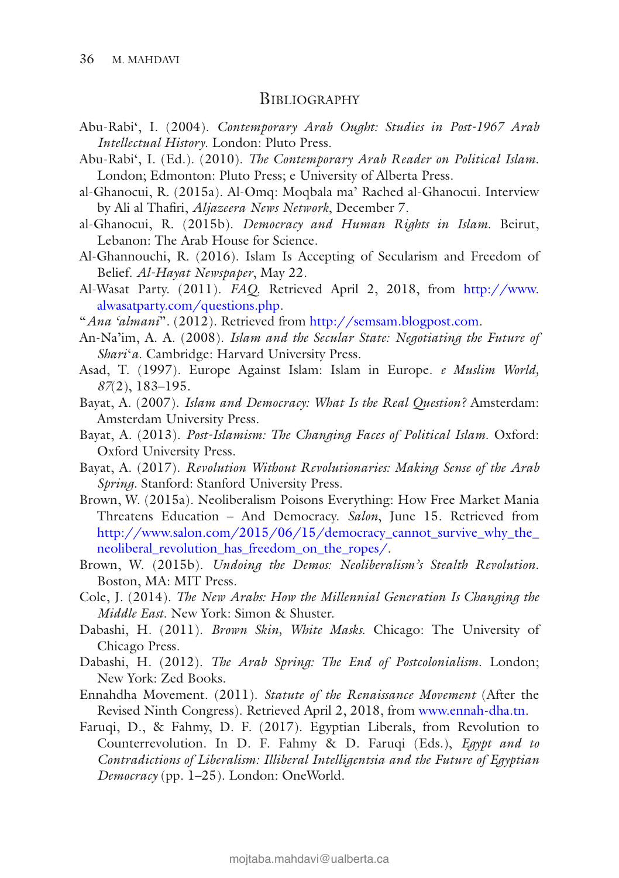#### **BIBLIOGRAPHY**

- Abu-Rabi', I. (2004). *Contemporary Arab Ought: Studies in Post-1967 Arab Intellectual History*. London: Pluto Press.
- Abu-Rabi', I. (Ed.). (2010). *The Contemporary Arab Reader on Political Islam*. London; Edmonton: Pluto Press; e University of Alberta Press.
- al-Ghanocui, R. (2015a). Al-Omq: Moqbala ma' Rached al-Ghanocui. Interview by Ali al Thafiri, *Aljazeera News Network*, December 7.
- al-Ghanocui, R. (2015b). *Democracy and Human Rights in Islam*. Beirut, Lebanon: The Arab House for Science.
- Al-Ghannouchi, R. (2016). Islam Is Accepting of Secularism and Freedom of Belief. *Al-Hayat Newspaper*, May 22.
- Al-Wasat Party. (2011). *FAQ*. Retrieved April 2, 2018, from http://www. alwasatparty.com/questions.php.
- "*Ana 'almani*". (2012). Retrieved from http://semsam.blogpost.com.
- An-Na'im, A. A. (2008). *Islam and the Secular State: Negotiating the Future of Shari*'*a*. Cambridge: Harvard University Press.
- Asad, T. (1997). Europe Against Islam: Islam in Europe. *e Muslim World, 87*(2), 183–195.
- Bayat, A. (2007). *Islam and Democracy: What Is the Real Question?* Amsterdam: Amsterdam University Press.
- Bayat, A. (2013). *Post-Islamism: The Changing Faces of Political Islam*. Oxford: Oxford University Press.
- Bayat, A. (2017). *Revolution Without Revolutionaries: Making Sense of the Arab Spring*. Stanford: Stanford University Press.
- Brown, W. (2015a). Neoliberalism Poisons Everything: How Free Market Mania Threatens Education – And Democracy. *Salon*, June 15. Retrieved from http://www.salon.com/2015/06/15/democracy\_cannot\_survive\_why\_the\_ neoliberal revolution has freedom on the ropes/.
- Brown, W. (2015b). *Undoing the Demos: Neoliberalism's Stealth Revolution*. Boston, MA: MIT Press.
- Cole, J. (2014). *The New Arabs: How the Millennial Generation Is Changing the Middle East*. New York: Simon & Shuster.
- Dabashi, H. (2011). *Brown Skin, White Masks*. Chicago: The University of Chicago Press.
- Dabashi, H. (2012). *The Arab Spring: The End of Postcolonialism*. London; New York: Zed Books.
- Ennahdha Movement. (2011). *Statute of the Renaissance Movement* (After the Revised Ninth Congress). Retrieved April 2, 2018, from www.ennah-dha.tn.
- Faruqi, D., & Fahmy, D. F. (2017). Egyptian Liberals, from Revolution to Counterrevolution. In D. F. Fahmy & D. Faruqi (Eds.), *Egypt and to Contradictions of Liberalism: Illiberal Intelligentsia and the Future of Egyptian Democracy* (pp. 1–25). London: OneWorld.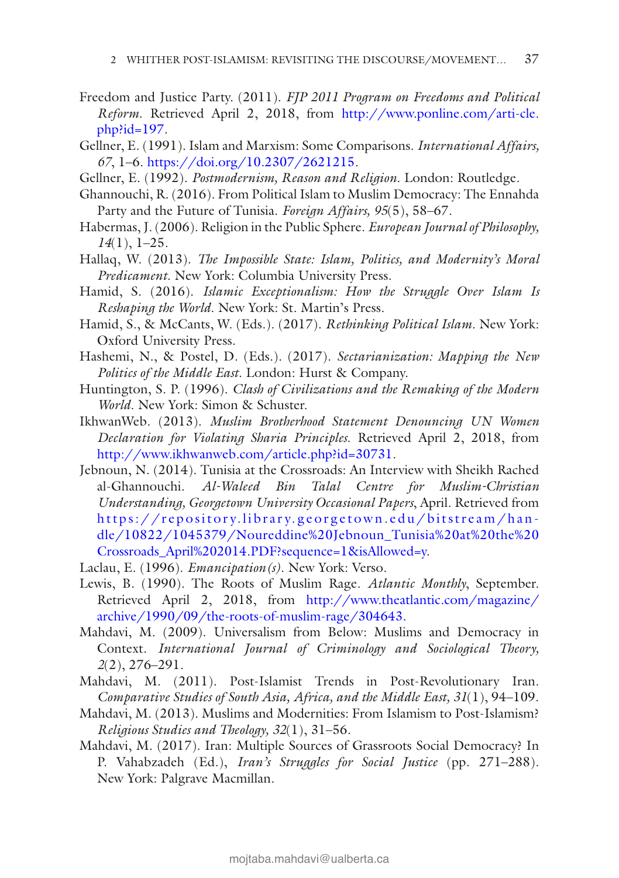- Freedom and Justice Party. (2011). *FJP 2011 Program on Freedoms and Political Reform*. Retrieved April 2, 2018, from http://www.ponline.com/arti-cle. php?id=197.
- Gellner, E. (1991). Islam and Marxism: Some Comparisons. *International Affairs, 67*, 1–6. https://doi.org/10.2307/2621215.
- Gellner, E. (1992). *Postmodernism, Reason and Religion*. London: Routledge.
- Ghannouchi, R. (2016). From Political Islam to Muslim Democracy: The Ennahda Party and the Future of Tunisia. *Foreign Affairs, 95*(5), 58–67.
- Habermas, J. (2006). Religion in the Public Sphere. *European Journal of Philosophy, 14*(1), 1–25.
- Hallaq, W. (2013). *The Impossible State: Islam, Politics, and Modernity's Moral Predicament*. New York: Columbia University Press.
- Hamid, S. (2016). *Islamic Exceptionalism: How the Struggle Over Islam Is Reshaping the World*. New York: St. Martin's Press.
- Hamid, S., & McCants, W. (Eds.). (2017). *Rethinking Political Islam*. New York: Oxford University Press.
- Hashemi, N., & Postel, D. (Eds.). (2017). *Sectarianization: Mapping the New Politics of the Middle East*. London: Hurst & Company.
- Huntington, S. P. (1996). *Clash of Civilizations and the Remaking of the Modern World*. New York: Simon & Schuster.
- IkhwanWeb. (2013). *Muslim Brotherhood Statement Denouncing UN Women Declaration for Violating Sharia Principles*. Retrieved April 2, 2018, from http://www.ikhwanweb.com/article.php?id=30731.
- Jebnoun, N. (2014). Tunisia at the Crossroads: An Interview with Sheikh Rached al-Ghannouchi. *Al-Waleed Bin Talal Centre for Muslim-Christian Understanding, Georgetown University Occasional Papers*, April. Retrieved from https://repository.library.georgetown.edu/bitstream/handle/10822/1045379/Noureddine%20Jebnoun\_Tunisia%20at%20the%20 Crossroads\_April%202014.PDF?sequence=1&isAllowed=y.
- Laclau, E. (1996). *Emancipation(s)*. New York: Verso.
- Lewis, B. (1990). The Roots of Muslim Rage. *Atlantic Monthly*, September. Retrieved April 2, 2018, from http://www.theatlantic.com/magazine/ archive/1990/09/the-roots-of-muslim-rage/304643.
- Mahdavi, M. (2009). Universalism from Below: Muslims and Democracy in Context. *International Journal of Criminology and Sociological Theory, 2*(2), 276–291.
- Mahdavi, M. (2011). Post-Islamist Trends in Post-Revolutionary Iran. *Comparative Studies of South Asia, Africa, and the Middle East, 31*(1), 94–109.
- Mahdavi, M. (2013). Muslims and Modernities: From Islamism to Post-Islamism? *Religious Studies and Theology, 32*(1), 31–56.
- Mahdavi, M. (2017). Iran: Multiple Sources of Grassroots Social Democracy? In P. Vahabzadeh (Ed.), *Iran's Struggles for Social Justice* (pp. 271–288). New York: Palgrave Macmillan.